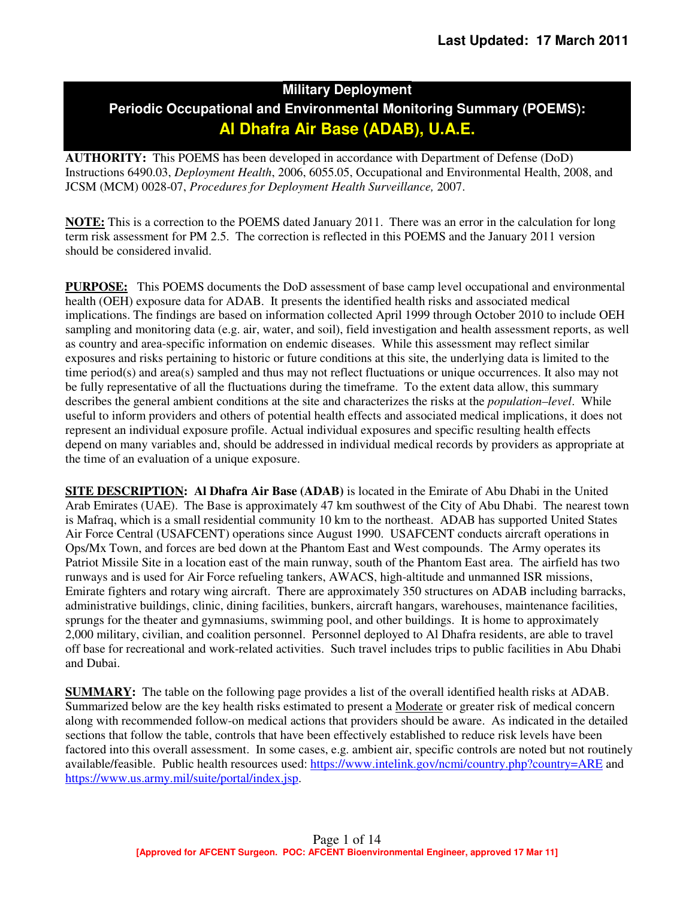# **Military Deployment Periodic Occupational and Environmental Monitoring Summary (POEMS): Al Dhafra Air Base (ADAB), U.A.E.**

**AUTHORITY:** This POEMS has been developed in accordance with Department of Defense (DoD) Instructions 6490.03, *Deployment Health*, 2006, 6055.05, Occupational and Environmental Health, 2008, and JCSM (MCM) 0028-07, *Procedures for Deployment Health Surveillance,* 2007.

**NOTE:** This is a correction to the POEMS dated January 2011. There was an error in the calculation for long term risk assessment for PM 2.5. The correction is reflected in this POEMS and the January 2011 version should be considered invalid.

**PURPOSE:** This POEMS documents the DoD assessment of base camp level occupational and environmental health (OEH) exposure data for ADAB. It presents the identified health risks and associated medical implications. The findings are based on information collected April 1999 through October 2010 to include OEH sampling and monitoring data (e.g. air, water, and soil), field investigation and health assessment reports, as well as country and area-specific information on endemic diseases. While this assessment may reflect similar exposures and risks pertaining to historic or future conditions at this site, the underlying data is limited to the time period(s) and area(s) sampled and thus may not reflect fluctuations or unique occurrences. It also may not be fully representative of all the fluctuations during the timeframe. To the extent data allow, this summary describes the general ambient conditions at the site and characterizes the risks at the *population–level*. While useful to inform providers and others of potential health effects and associated medical implications, it does not represent an individual exposure profile. Actual individual exposures and specific resulting health effects depend on many variables and, should be addressed in individual medical records by providers as appropriate at the time of an evaluation of a unique exposure.

**SITE DESCRIPTION: Al Dhafra Air Base (ADAB)** is located in the Emirate of Abu Dhabi in the United Arab Emirates (UAE). The Base is approximately 47 km southwest of the City of Abu Dhabi. The nearest town is Mafraq, which is a small residential community 10 km to the northeast. ADAB has supported United States Air Force Central (USAFCENT) operations since August 1990. USAFCENT conducts aircraft operations in Ops/Mx Town, and forces are bed down at the Phantom East and West compounds. The Army operates its Patriot Missile Site in a location east of the main runway, south of the Phantom East area. The airfield has two runways and is used for Air Force refueling tankers, AWACS, high-altitude and unmanned ISR missions, Emirate fighters and rotary wing aircraft. There are approximately 350 structures on ADAB including barracks, administrative buildings, clinic, dining facilities, bunkers, aircraft hangars, warehouses, maintenance facilities, sprungs for the theater and gymnasiums, swimming pool, and other buildings. It is home to approximately 2,000 military, civilian, and coalition personnel. Personnel deployed to Al Dhafra residents, are able to travel off base for recreational and work-related activities. Such travel includes trips to public facilities in Abu Dhabi and Dubai.

**SUMMARY:** The table on the following page provides a list of the overall identified health risks at ADAB. Summarized below are the key health risks estimated to present a Moderate or greater risk of medical concern along with recommended follow-on medical actions that providers should be aware. As indicated in the detailed sections that follow the table, controls that have been effectively established to reduce risk levels have been factored into this overall assessment. In some cases, e.g. ambient air, specific controls are noted but not routinely available/feasible. Public health resources used: https://www.intelink.gov/ncmi/country.php?country=ARE and https://www.us.army.mil/suite/portal/index.jsp.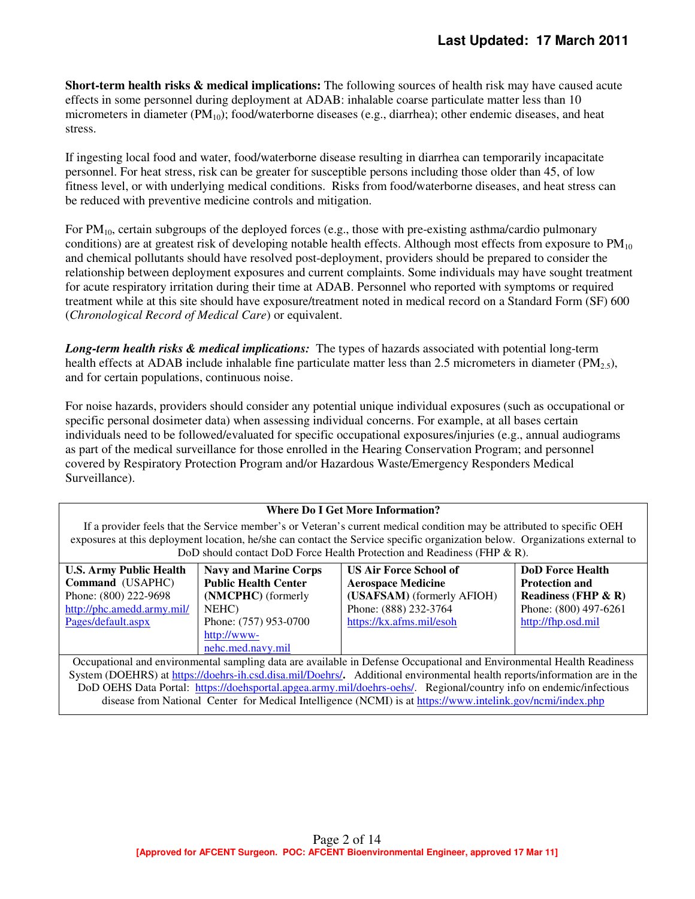**Short-term health risks & medical implications:** The following sources of health risk may have caused acute effects in some personnel during deployment at ADAB: inhalable coarse particulate matter less than 10 micrometers in diameter  $(PM_{10})$ ; food/waterborne diseases (e.g., diarrhea); other endemic diseases, and heat stress.

If ingesting local food and water, food/waterborne disease resulting in diarrhea can temporarily incapacitate personnel. For heat stress, risk can be greater for susceptible persons including those older than 45, of low fitness level, or with underlying medical conditions. Risks from food/waterborne diseases, and heat stress can be reduced with preventive medicine controls and mitigation.

For  $PM_{10}$ , certain subgroups of the deployed forces (e.g., those with pre-existing asthma/cardio pulmonary conditions) are at greatest risk of developing notable health effects. Although most effects from exposure to  $PM_{10}$ and chemical pollutants should have resolved post-deployment, providers should be prepared to consider the relationship between deployment exposures and current complaints. Some individuals may have sought treatment for acute respiratory irritation during their time at ADAB. Personnel who reported with symptoms or required treatment while at this site should have exposure/treatment noted in medical record on a Standard Form (SF) 600 (*Chronological Record of Medical Care*) or equivalent.

*Long-term health risks & medical implications:* The types of hazards associated with potential long-term health effects at ADAB include inhalable fine particulate matter less than 2.5 micrometers in diameter ( $PM_2$ ,), and for certain populations, continuous noise.

For noise hazards, providers should consider any potential unique individual exposures (such as occupational or specific personal dosimeter data) when assessing individual concerns. For example, at all bases certain individuals need to be followed/evaluated for specific occupational exposures/injuries (e.g., annual audiograms as part of the medical surveillance for those enrolled in the Hearing Conservation Program; and personnel covered by Respiratory Protection Program and/or Hazardous Waste/Emergency Responders Medical Surveillance).

#### **Where Do I Get More Information?**

If a provider feels that the Service member's or Veteran's current medical condition may be attributed to specific OEH exposures at this deployment location, he/she can contact the Service specific organization below. Organizations external to DoD should contact DoD Force Health Protection and Readiness (FHP & R).

| <b>U.S. Army Public Health</b> | <b>Navy and Marine Corps</b> | <b>US Air Force School of</b> | <b>DoD</b> Force Health |
|--------------------------------|------------------------------|-------------------------------|-------------------------|
| Command (USAPHC)               | <b>Public Health Center</b>  | <b>Aerospace Medicine</b>     | <b>Protection and</b>   |
| Phone: (800) 222-9698          | (NMCPHC) (formerly           | (USAFSAM) (formerly AFIOH)    | Readiness (FHP $\&$ R)  |
| http://phc.amedd.army.mil/     | NEHC)                        | Phone: (888) 232-3764         | Phone: (800) 497-6261   |
| Pages/default.aspx             | Phone: (757) 953-0700        | https://kx.afms.mil/esoh      | http://fhp.osd.mil      |
|                                | http://www-                  |                               |                         |
|                                | nehc.med.navy.mil            |                               |                         |

Occupational and environmental sampling data are available in Defense Occupational and Environmental Health Readiness System (DOEHRS) at https://doehrs-ih.csd.disa.mil/Doehrs/**.** Additional environmental health reports/information are in the DoD OEHS Data Portal: https://doehsportal.apgea.army.mil/doehrs-oehs/. Regional/country info on endemic/infectious disease from National Center for Medical Intelligence (NCMI) is at https://www.intelink.gov/ncmi/index.php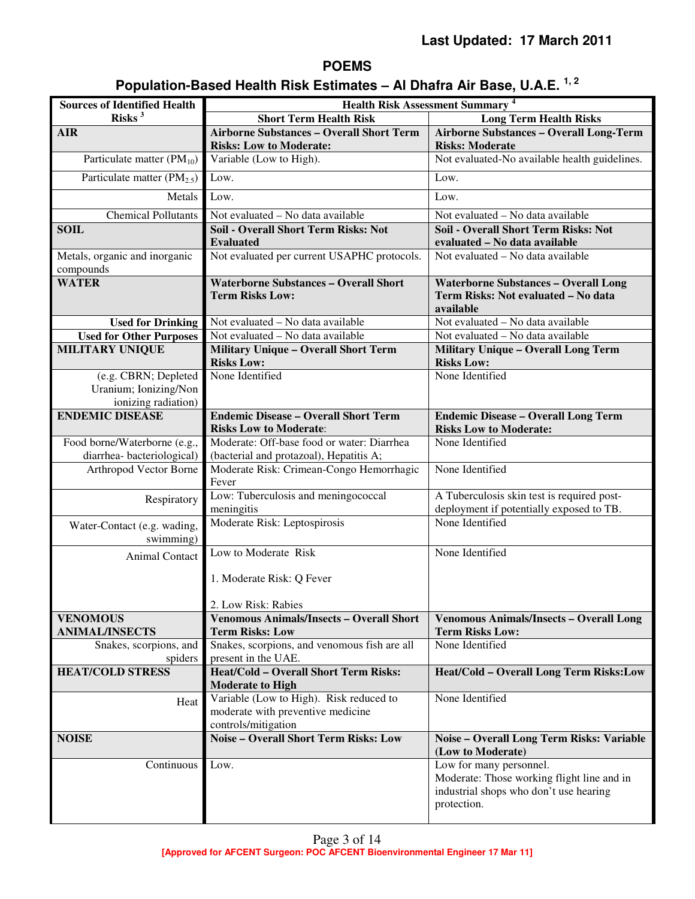# **POEMS**

# **Population-Based Health Risk Estimates – Al Dhafra Air Base, U.A.E. 1, 2**

| <b>Sources of Identified Health</b>                                  | <b>Health Risk Assessment Summary<sup>4</sup></b>                                                   |                                                                                                                                |  |
|----------------------------------------------------------------------|-----------------------------------------------------------------------------------------------------|--------------------------------------------------------------------------------------------------------------------------------|--|
| Risks $3$                                                            | <b>Short Term Health Risk</b>                                                                       | <b>Long Term Health Risks</b>                                                                                                  |  |
| <b>AIR</b>                                                           | <b>Airborne Substances - Overall Short Term</b>                                                     | <b>Airborne Substances - Overall Long-Term</b>                                                                                 |  |
|                                                                      | <b>Risks: Low to Moderate:</b>                                                                      | <b>Risks: Moderate</b>                                                                                                         |  |
| Particulate matter $(PM_{10})$                                       | Variable (Low to High).                                                                             | Not evaluated-No available health guidelines.                                                                                  |  |
| Particulate matter $(PM_{2.5})$                                      | Low.                                                                                                | Low.                                                                                                                           |  |
| Metals                                                               | Low.                                                                                                | Low.                                                                                                                           |  |
| <b>Chemical Pollutants</b>                                           | Not evaluated - No data available                                                                   | Not evaluated - No data available                                                                                              |  |
| <b>SOIL</b>                                                          | <b>Soil - Overall Short Term Risks: Not</b><br><b>Evaluated</b>                                     | <b>Soil - Overall Short Term Risks: Not</b><br>evaluated - No data available                                                   |  |
| Metals, organic and inorganic<br>compounds                           | Not evaluated per current USAPHC protocols.                                                         | Not evaluated - No data available                                                                                              |  |
| <b>WATER</b>                                                         | <b>Waterborne Substances - Overall Short</b><br><b>Term Risks Low:</b>                              | <b>Waterborne Substances - Overall Long</b><br>Term Risks: Not evaluated - No data<br>available                                |  |
| <b>Used for Drinking</b>                                             | Not evaluated - No data available                                                                   | Not evaluated - No data available                                                                                              |  |
| <b>Used for Other Purposes</b>                                       | Not evaluated - No data available                                                                   | Not evaluated $-\overline{No}$ data available                                                                                  |  |
| <b>MILITARY UNIQUE</b>                                               | <b>Military Unique - Overall Short Term</b><br><b>Risks Low:</b>                                    | <b>Military Unique - Overall Long Term</b><br><b>Risks Low:</b>                                                                |  |
| (e.g. CBRN; Depleted<br>Uranium; Ionizing/Non<br>ionizing radiation) | None Identified                                                                                     | None Identified                                                                                                                |  |
| <b>ENDEMIC DISEASE</b>                                               | <b>Endemic Disease - Overall Short Term</b><br><b>Risks Low to Moderate:</b>                        | <b>Endemic Disease - Overall Long Term</b><br><b>Risks Low to Moderate:</b>                                                    |  |
| Food borne/Waterborne (e.g.,                                         | Moderate: Off-base food or water: Diarrhea                                                          | None Identified                                                                                                                |  |
| diarrhea-bacteriological)                                            | (bacterial and protazoal), Hepatitis A;                                                             |                                                                                                                                |  |
| Arthropod Vector Borne                                               | Moderate Risk: Crimean-Congo Hemorrhagic<br>Fever                                                   | None Identified                                                                                                                |  |
| Respiratory                                                          | Low: Tuberculosis and meningococcal                                                                 | A Tuberculosis skin test is required post-                                                                                     |  |
|                                                                      | meningitis<br>Moderate Risk: Leptospirosis                                                          | deployment if potentially exposed to TB.<br>None Identified                                                                    |  |
| Water-Contact (e.g. wading,<br>swimming)                             |                                                                                                     |                                                                                                                                |  |
| Animal Contact                                                       | Low to Moderate Risk                                                                                | None Identified                                                                                                                |  |
|                                                                      | 1. Moderate Risk: Q Fever                                                                           |                                                                                                                                |  |
|                                                                      | 2. Low Risk: Rabies                                                                                 |                                                                                                                                |  |
| <b>VENOMOUS</b>                                                      | <b>Venomous Animals/Insects - Overall Short</b>                                                     | <b>Venomous Animals/Insects - Overall Long</b>                                                                                 |  |
| <b>ANIMAL/INSECTS</b>                                                | <b>Term Risks: Low</b>                                                                              | <b>Term Risks Low:</b>                                                                                                         |  |
| Snakes, scorpions, and                                               | Snakes, scorpions, and venomous fish are all                                                        | None Identified                                                                                                                |  |
| spiders                                                              | present in the UAE.                                                                                 |                                                                                                                                |  |
| <b>HEAT/COLD STRESS</b>                                              | <b>Heat/Cold - Overall Short Term Risks:</b><br><b>Moderate to High</b>                             | Heat/Cold - Overall Long Term Risks:Low                                                                                        |  |
| Heat                                                                 | Variable (Low to High). Risk reduced to<br>moderate with preventive medicine<br>controls/mitigation | None Identified                                                                                                                |  |
| <b>NOISE</b>                                                         | <b>Noise - Overall Short Term Risks: Low</b>                                                        | Noise - Overall Long Term Risks: Variable<br>(Low to Moderate)                                                                 |  |
| Continuous                                                           | Low.                                                                                                | Low for many personnel.<br>Moderate: Those working flight line and in<br>industrial shops who don't use hearing<br>protection. |  |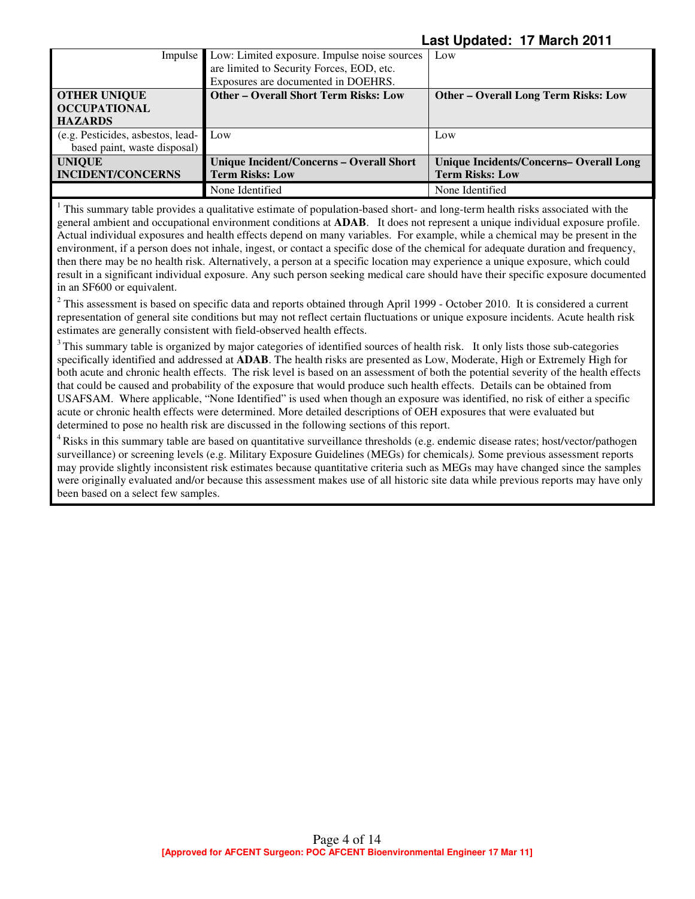|                                       | Impulse Low: Limited exposure. Impulse noise sources | Low                                         |
|---------------------------------------|------------------------------------------------------|---------------------------------------------|
|                                       | are limited to Security Forces, EOD, etc.            |                                             |
|                                       | Exposures are documented in DOEHRS.                  |                                             |
| <b>OTHER UNIQUE</b>                   | <b>Other – Overall Short Term Risks: Low</b>         | <b>Other - Overall Long Term Risks: Low</b> |
| <b>OCCUPATIONAL</b>                   |                                                      |                                             |
| <b>HAZARDS</b>                        |                                                      |                                             |
| (e.g. Pesticides, asbestos, lead- Low |                                                      | Low                                         |
| based paint, waste disposal)          |                                                      |                                             |
| <b>UNIQUE</b>                         | Unique Incident/Concerns - Overall Short             | Unique Incidents/Concerns-Overall Long      |
| <b>INCIDENT/CONCERNS</b>              | <b>Term Risks: Low</b>                               | <b>Term Risks: Low</b>                      |
|                                       | None Identified                                      | None Identified                             |

 $1$  This summary table provides a qualitative estimate of population-based short- and long-term health risks associated with the general ambient and occupational environment conditions at **ADAB**. It does not represent a unique individual exposure profile. Actual individual exposures and health effects depend on many variables. For example, while a chemical may be present in the environment, if a person does not inhale, ingest, or contact a specific dose of the chemical for adequate duration and frequency, then there may be no health risk. Alternatively, a person at a specific location may experience a unique exposure, which could result in a significant individual exposure. Any such person seeking medical care should have their specific exposure documented in an SF600 or equivalent.

 $2$  This assessment is based on specific data and reports obtained through April 1999 - October 2010. It is considered a current representation of general site conditions but may not reflect certain fluctuations or unique exposure incidents. Acute health risk estimates are generally consistent with field-observed health effects.

 $3$ This summary table is organized by major categories of identified sources of health risk. It only lists those sub-categories specifically identified and addressed at **ADAB**. The health risks are presented as Low, Moderate, High or Extremely High for both acute and chronic health effects. The risk level is based on an assessment of both the potential severity of the health effects that could be caused and probability of the exposure that would produce such health effects. Details can be obtained from USAFSAM. Where applicable, "None Identified" is used when though an exposure was identified, no risk of either a specific acute or chronic health effects were determined. More detailed descriptions of OEH exposures that were evaluated but determined to pose no health risk are discussed in the following sections of this report.

<sup>4</sup> Risks in this summary table are based on quantitative surveillance thresholds (e.g. endemic disease rates; host/vector/pathogen surveillance) or screening levels (e.g. Military Exposure Guidelines (MEGs) for chemicals*).* Some previous assessment reports may provide slightly inconsistent risk estimates because quantitative criteria such as MEGs may have changed since the samples were originally evaluated and/or because this assessment makes use of all historic site data while previous reports may have only been based on a select few samples.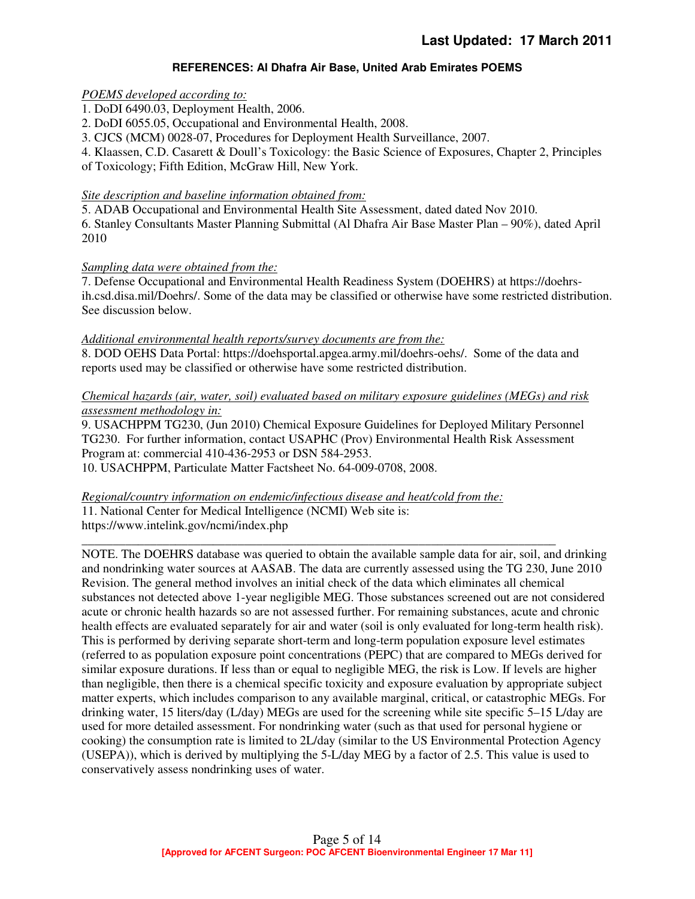### **REFERENCES: Al Dhafra Air Base, United Arab Emirates POEMS**

#### *POEMS developed according to:*

1. DoDI 6490.03, Deployment Health, 2006.

2. DoDI 6055.05, Occupational and Environmental Health, 2008.

3. CJCS (MCM) 0028-07, Procedures for Deployment Health Surveillance, 2007.

4. Klaassen, C.D. Casarett & Doull's Toxicology: the Basic Science of Exposures, Chapter 2, Principles

of Toxicology; Fifth Edition, McGraw Hill, New York.

### *Site description and baseline information obtained from:*

5. ADAB Occupational and Environmental Health Site Assessment, dated dated Nov 2010. 6. Stanley Consultants Master Planning Submittal (Al Dhafra Air Base Master Plan – 90%), dated April 2010

### *Sampling data were obtained from the:*

7. Defense Occupational and Environmental Health Readiness System (DOEHRS) at https://doehrsih.csd.disa.mil/Doehrs/. Some of the data may be classified or otherwise have some restricted distribution. See discussion below.

#### *Additional environmental health reports/survey documents are from the:*

8. DOD OEHS Data Portal: https://doehsportal.apgea.army.mil/doehrs-oehs/. Some of the data and reports used may be classified or otherwise have some restricted distribution.

### *Chemical hazards (air, water, soil) evaluated based on military exposure guidelines (MEGs) and risk assessment methodology in:*

9. USACHPPM TG230, (Jun 2010) Chemical Exposure Guidelines for Deployed Military Personnel TG230. For further information, contact USAPHC (Prov) Environmental Health Risk Assessment Program at: commercial 410-436-2953 or DSN 584-2953.

10. USACHPPM, Particulate Matter Factsheet No. 64-009-0708, 2008.

#### *Regional/country information on endemic/infectious disease and heat/cold from the:*

11. National Center for Medical Intelligence (NCMI) Web site is: https://www.intelink.gov/ncmi/index.php

\_\_\_\_\_\_\_\_\_\_\_\_\_\_\_\_\_\_\_\_\_\_\_\_\_\_\_\_\_\_\_\_\_\_\_\_\_\_\_\_\_\_\_\_\_\_\_\_\_\_\_\_\_\_\_\_\_\_\_\_\_\_\_\_\_\_\_\_\_\_\_\_\_\_\_\_ NOTE. The DOEHRS database was queried to obtain the available sample data for air, soil, and drinking and nondrinking water sources at AASAB. The data are currently assessed using the TG 230, June 2010 Revision. The general method involves an initial check of the data which eliminates all chemical substances not detected above 1-year negligible MEG. Those substances screened out are not considered acute or chronic health hazards so are not assessed further. For remaining substances, acute and chronic health effects are evaluated separately for air and water (soil is only evaluated for long-term health risk). This is performed by deriving separate short-term and long-term population exposure level estimates (referred to as population exposure point concentrations (PEPC) that are compared to MEGs derived for similar exposure durations. If less than or equal to negligible MEG, the risk is Low. If levels are higher than negligible, then there is a chemical specific toxicity and exposure evaluation by appropriate subject matter experts, which includes comparison to any available marginal, critical, or catastrophic MEGs. For drinking water, 15 liters/day (L/day) MEGs are used for the screening while site specific 5–15 L/day are used for more detailed assessment. For nondrinking water (such as that used for personal hygiene or cooking) the consumption rate is limited to 2L/day (similar to the US Environmental Protection Agency (USEPA)), which is derived by multiplying the 5-L/day MEG by a factor of 2.5. This value is used to conservatively assess nondrinking uses of water.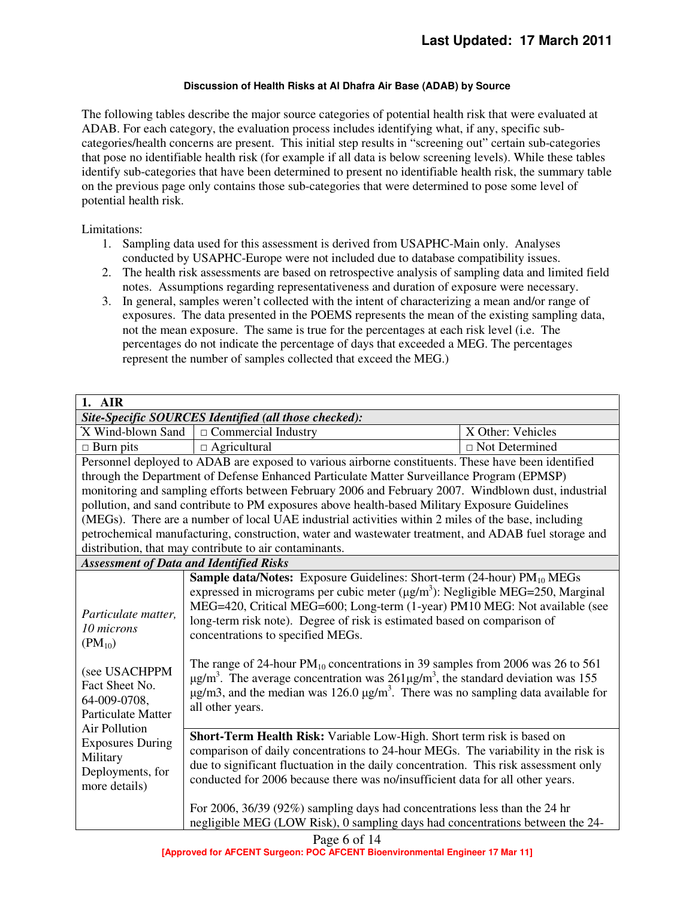#### **Discussion of Health Risks at Al Dhafra Air Base (ADAB) by Source**

The following tables describe the major source categories of potential health risk that were evaluated at ADAB. For each category, the evaluation process includes identifying what, if any, specific subcategories/health concerns are present. This initial step results in "screening out" certain sub-categories that pose no identifiable health risk (for example if all data is below screening levels). While these tables identify sub-categories that have been determined to present no identifiable health risk, the summary table on the previous page only contains those sub-categories that were determined to pose some level of potential health risk.

Limitations:

- 1. Sampling data used for this assessment is derived from USAPHC-Main only. Analyses conducted by USAPHC-Europe were not included due to database compatibility issues.
- 2. The health risk assessments are based on retrospective analysis of sampling data and limited field notes. Assumptions regarding representativeness and duration of exposure were necessary.
- 3. In general, samples weren't collected with the intent of characterizing a mean and/or range of exposures. The data presented in the POEMS represents the mean of the existing sampling data, not the mean exposure. The same is true for the percentages at each risk level (i.e. The percentages do not indicate the percentage of days that exceeded a MEG. The percentages represent the number of samples collected that exceed the MEG.)

| 1. AIR                                                                                                                                            |                                                                                                                                                                                                                                                                                                                                                                                                                                                                                                                                                                                                                                                                                                                      |                       |  |
|---------------------------------------------------------------------------------------------------------------------------------------------------|----------------------------------------------------------------------------------------------------------------------------------------------------------------------------------------------------------------------------------------------------------------------------------------------------------------------------------------------------------------------------------------------------------------------------------------------------------------------------------------------------------------------------------------------------------------------------------------------------------------------------------------------------------------------------------------------------------------------|-----------------------|--|
| Site-Specific SOURCES Identified (all those checked):                                                                                             |                                                                                                                                                                                                                                                                                                                                                                                                                                                                                                                                                                                                                                                                                                                      |                       |  |
| X Wind-blown Sand                                                                                                                                 | $\Box$ Commercial Industry                                                                                                                                                                                                                                                                                                                                                                                                                                                                                                                                                                                                                                                                                           | X Other: Vehicles     |  |
| $\Box$ Burn pits                                                                                                                                  | $\Box$ Agricultural                                                                                                                                                                                                                                                                                                                                                                                                                                                                                                                                                                                                                                                                                                  | $\Box$ Not Determined |  |
|                                                                                                                                                   | Personnel deployed to ADAB are exposed to various airborne constituents. These have been identified                                                                                                                                                                                                                                                                                                                                                                                                                                                                                                                                                                                                                  |                       |  |
|                                                                                                                                                   | through the Department of Defense Enhanced Particulate Matter Surveillance Program (EPMSP)                                                                                                                                                                                                                                                                                                                                                                                                                                                                                                                                                                                                                           |                       |  |
|                                                                                                                                                   | monitoring and sampling efforts between February 2006 and February 2007. Windblown dust, industrial                                                                                                                                                                                                                                                                                                                                                                                                                                                                                                                                                                                                                  |                       |  |
|                                                                                                                                                   | pollution, and sand contribute to PM exposures above health-based Military Exposure Guidelines                                                                                                                                                                                                                                                                                                                                                                                                                                                                                                                                                                                                                       |                       |  |
|                                                                                                                                                   | (MEGs). There are a number of local UAE industrial activities within 2 miles of the base, including                                                                                                                                                                                                                                                                                                                                                                                                                                                                                                                                                                                                                  |                       |  |
|                                                                                                                                                   | petrochemical manufacturing, construction, water and wastewater treatment, and ADAB fuel storage and                                                                                                                                                                                                                                                                                                                                                                                                                                                                                                                                                                                                                 |                       |  |
|                                                                                                                                                   | distribution, that may contribute to air contaminants.                                                                                                                                                                                                                                                                                                                                                                                                                                                                                                                                                                                                                                                               |                       |  |
|                                                                                                                                                   | <b>Assessment of Data and Identified Risks</b>                                                                                                                                                                                                                                                                                                                                                                                                                                                                                                                                                                                                                                                                       |                       |  |
| Particulate matter,<br>10 microns<br>$(PM_{10})$<br>(see USACHPPM<br>Fact Sheet No.<br>64-009-0708,<br><b>Particulate Matter</b><br>Air Pollution | Sample data/Notes: Exposure Guidelines: Short-term (24-hour) PM <sub>10</sub> MEGs<br>expressed in micrograms per cubic meter $(\mu g/m^3)$ : Negligible MEG=250, Marginal<br>MEG=420, Critical MEG=600; Long-term (1-year) PM10 MEG: Not available (see<br>long-term risk note). Degree of risk is estimated based on comparison of<br>concentrations to specified MEGs.<br>The range of 24-hour $PM_{10}$ concentrations in 39 samples from 2006 was 26 to 561<br>$\mu$ g/m <sup>3</sup> . The average concentration was 261 $\mu$ g/m <sup>3</sup> , the standard deviation was 155<br>$\mu$ g/m3, and the median was 126.0 $\mu$ g/m <sup>3</sup> . There was no sampling data available for<br>all other years. |                       |  |
| <b>Exposures During</b><br>Military<br>Deployments, for<br>more details)                                                                          | Short-Term Health Risk: Variable Low-High. Short term risk is based on<br>comparison of daily concentrations to 24-hour MEGs. The variability in the risk is<br>due to significant fluctuation in the daily concentration. This risk assessment only<br>conducted for 2006 because there was no/insufficient data for all other years.<br>For 2006, 36/39 (92%) sampling days had concentrations less than the 24 hr                                                                                                                                                                                                                                                                                                 |                       |  |
|                                                                                                                                                   | negligible MEG (LOW Risk), 0 sampling days had concentrations between the 24-                                                                                                                                                                                                                                                                                                                                                                                                                                                                                                                                                                                                                                        |                       |  |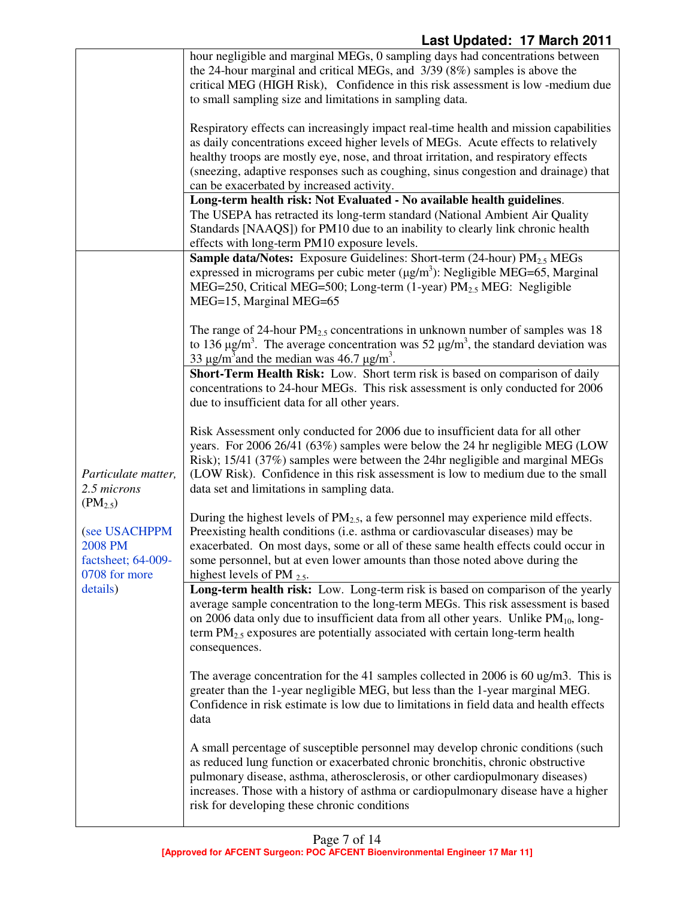|                                                                                                                       | hour negligible and marginal MEGs, 0 sampling days had concentrations between<br>the 24-hour marginal and critical MEGs, and 3/39 (8%) samples is above the<br>critical MEG (HIGH Risk), Confidence in this risk assessment is low -medium due<br>to small sampling size and limitations in sampling data.<br>Respiratory effects can increasingly impact real-time health and mission capabilities<br>as daily concentrations exceed higher levels of MEGs. Acute effects to relatively<br>healthy troops are mostly eye, nose, and throat irritation, and respiratory effects<br>(sneezing, adaptive responses such as coughing, sinus congestion and drainage) that<br>can be exacerbated by increased activity.<br>Long-term health risk: Not Evaluated - No available health guidelines.<br>The USEPA has retracted its long-term standard (National Ambient Air Quality |
|-----------------------------------------------------------------------------------------------------------------------|-------------------------------------------------------------------------------------------------------------------------------------------------------------------------------------------------------------------------------------------------------------------------------------------------------------------------------------------------------------------------------------------------------------------------------------------------------------------------------------------------------------------------------------------------------------------------------------------------------------------------------------------------------------------------------------------------------------------------------------------------------------------------------------------------------------------------------------------------------------------------------|
|                                                                                                                       | Standards [NAAQS]) for PM10 due to an inability to clearly link chronic health<br>effects with long-term PM10 exposure levels.                                                                                                                                                                                                                                                                                                                                                                                                                                                                                                                                                                                                                                                                                                                                                |
|                                                                                                                       | <b>Sample data/Notes:</b> Exposure Guidelines: Short-term (24-hour) $PM_{2.5}$ MEGs<br>expressed in micrograms per cubic meter $(\mu g/m^3)$ : Negligible MEG=65, Marginal<br>MEG=250, Critical MEG=500; Long-term (1-year) PM <sub>2.5</sub> MEG: Negligible<br>MEG=15, Marginal MEG=65                                                                                                                                                                                                                                                                                                                                                                                                                                                                                                                                                                                      |
|                                                                                                                       | The range of 24-hour $PM_{2.5}$ concentrations in unknown number of samples was 18<br>to 136 $\mu$ g/m <sup>3</sup> . The average concentration was 52 $\mu$ g/m <sup>3</sup> , the standard deviation was<br>33 $\mu$ g/m <sup>3</sup> and the median was 46.7 $\mu$ g/m <sup>3</sup> .                                                                                                                                                                                                                                                                                                                                                                                                                                                                                                                                                                                      |
| Particulate matter,<br>2.5 microns<br>$(PM_{2.5})$<br>(see USACHPPM<br>2008 PM<br>factsheet; 64-009-<br>0708 for more | Short-Term Health Risk: Low. Short term risk is based on comparison of daily<br>concentrations to 24-hour MEGs. This risk assessment is only conducted for 2006<br>due to insufficient data for all other years.                                                                                                                                                                                                                                                                                                                                                                                                                                                                                                                                                                                                                                                              |
|                                                                                                                       | Risk Assessment only conducted for 2006 due to insufficient data for all other<br>years. For 2006 26/41 (63%) samples were below the 24 hr negligible MEG (LOW<br>Risk); 15/41 (37%) samples were between the 24hr negligible and marginal MEGs<br>(LOW Risk). Confidence in this risk assessment is low to medium due to the small<br>data set and limitations in sampling data.                                                                                                                                                                                                                                                                                                                                                                                                                                                                                             |
|                                                                                                                       | During the highest levels of $PM_{2.5}$ , a few personnel may experience mild effects.<br>Preexisting health conditions (i.e. asthma or cardiovascular diseases) may be<br>exacerbated. On most days, some or all of these same health effects could occur in<br>some personnel, but at even lower amounts than those noted above during the<br>highest levels of PM $_{2.5}$ .                                                                                                                                                                                                                                                                                                                                                                                                                                                                                               |
| details)                                                                                                              | Long-term health risk: Low. Long-term risk is based on comparison of the yearly<br>average sample concentration to the long-term MEGs. This risk assessment is based<br>on 2006 data only due to insufficient data from all other years. Unlike PM <sub>10</sub> , long-<br>term $PM_{2.5}$ exposures are potentially associated with certain long-term health<br>consequences.                                                                                                                                                                                                                                                                                                                                                                                                                                                                                               |
|                                                                                                                       | The average concentration for the 41 samples collected in 2006 is 60 ug/m3. This is<br>greater than the 1-year negligible MEG, but less than the 1-year marginal MEG.<br>Confidence in risk estimate is low due to limitations in field data and health effects<br>data                                                                                                                                                                                                                                                                                                                                                                                                                                                                                                                                                                                                       |
|                                                                                                                       | A small percentage of susceptible personnel may develop chronic conditions (such<br>as reduced lung function or exacerbated chronic bronchitis, chronic obstructive<br>pulmonary disease, asthma, atherosclerosis, or other cardiopulmonary diseases)<br>increases. Those with a history of asthma or cardiopulmonary disease have a higher<br>risk for developing these chronic conditions                                                                                                                                                                                                                                                                                                                                                                                                                                                                                   |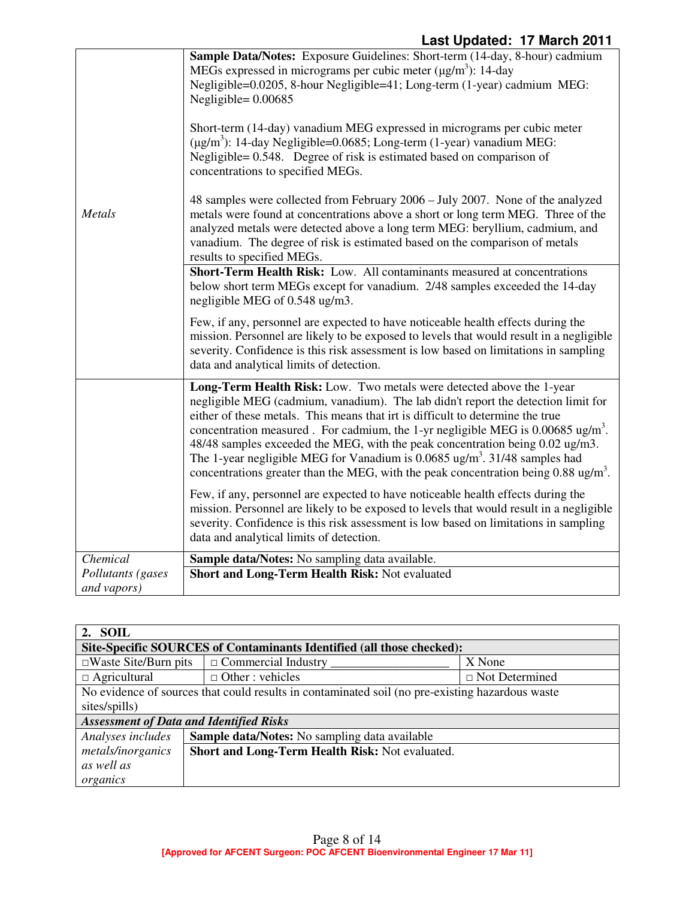|                                  | Sample Data/Notes: Exposure Guidelines: Short-term (14-day, 8-hour) cadmium<br>MEGs expressed in micrograms per cubic meter $(\mu g/m^3)$ : 14-day<br>Negligible=0.0205, 8-hour Negligible=41; Long-term (1-year) cadmium MEG:<br>Negligible= $0.00685$<br>Short-term (14-day) vanadium MEG expressed in micrograms per cubic meter<br>$(\mu g/m^3)$ : 14-day Negligible=0.0685; Long-term (1-year) vanadium MEG:<br>Negligible= 0.548. Degree of risk is estimated based on comparison of<br>concentrations to specified MEGs.                                                                                           |
|----------------------------------|---------------------------------------------------------------------------------------------------------------------------------------------------------------------------------------------------------------------------------------------------------------------------------------------------------------------------------------------------------------------------------------------------------------------------------------------------------------------------------------------------------------------------------------------------------------------------------------------------------------------------|
| Metals                           | 48 samples were collected from February 2006 – July 2007. None of the analyzed<br>metals were found at concentrations above a short or long term MEG. Three of the<br>analyzed metals were detected above a long term MEG: beryllium, cadmium, and<br>vanadium. The degree of risk is estimated based on the comparison of metals<br>results to specified MEGs.                                                                                                                                                                                                                                                           |
|                                  | Short-Term Health Risk: Low. All contaminants measured at concentrations<br>below short term MEGs except for vanadium. 2/48 samples exceeded the 14-day<br>negligible MEG of 0.548 ug/m3.                                                                                                                                                                                                                                                                                                                                                                                                                                 |
|                                  | Few, if any, personnel are expected to have noticeable health effects during the<br>mission. Personnel are likely to be exposed to levels that would result in a negligible<br>severity. Confidence is this risk assessment is low based on limitations in sampling<br>data and analytical limits of detection.                                                                                                                                                                                                                                                                                                           |
|                                  | Long-Term Health Risk: Low. Two metals were detected above the 1-year<br>negligible MEG (cadmium, vanadium). The lab didn't report the detection limit for<br>either of these metals. This means that irt is difficult to determine the true<br>concentration measured. For cadmium, the 1-yr negligible MEG is $0.00685 \text{ ug/m}^3$ .<br>48/48 samples exceeded the MEG, with the peak concentration being 0.02 ug/m3.<br>The 1-year negligible MEG for Vanadium is $0.0685$ ug/m <sup>3</sup> . 31/48 samples had<br>concentrations greater than the MEG, with the peak concentration being $0.88 \text{ ug/m}^3$ . |
|                                  | Few, if any, personnel are expected to have noticeable health effects during the<br>mission. Personnel are likely to be exposed to levels that would result in a negligible<br>severity. Confidence is this risk assessment is low based on limitations in sampling<br>data and analytical limits of detection.                                                                                                                                                                                                                                                                                                           |
| Chemical                         | Sample data/Notes: No sampling data available.                                                                                                                                                                                                                                                                                                                                                                                                                                                                                                                                                                            |
| Pollutants (gases<br>and vapors) | Short and Long-Term Health Risk: Not evaluated                                                                                                                                                                                                                                                                                                                                                                                                                                                                                                                                                                            |

| 2. SOIL                                                                                                           |                                                      |                       |  |
|-------------------------------------------------------------------------------------------------------------------|------------------------------------------------------|-----------------------|--|
| Site-Specific SOURCES of Contaminants Identified (all those checked):                                             |                                                      |                       |  |
| $\square$ Waste Site/Burn pits                                                                                    | $\Box$ Commercial Industry                           | X None                |  |
| $\Box$ Agricultural                                                                                               | $\Box$ Other : vehicles                              | $\Box$ Not Determined |  |
| No evidence of sources that could results in contaminated soil (no pre-existing hazardous waster<br>sites/spills) |                                                      |                       |  |
| <b>Assessment of Data and Identified Risks</b>                                                                    |                                                      |                       |  |
| Analyses includes                                                                                                 | <b>Sample data/Notes:</b> No sampling data available |                       |  |
| metals/inorganics                                                                                                 | Short and Long-Term Health Risk: Not evaluated.      |                       |  |
| as well as                                                                                                        |                                                      |                       |  |
| organics                                                                                                          |                                                      |                       |  |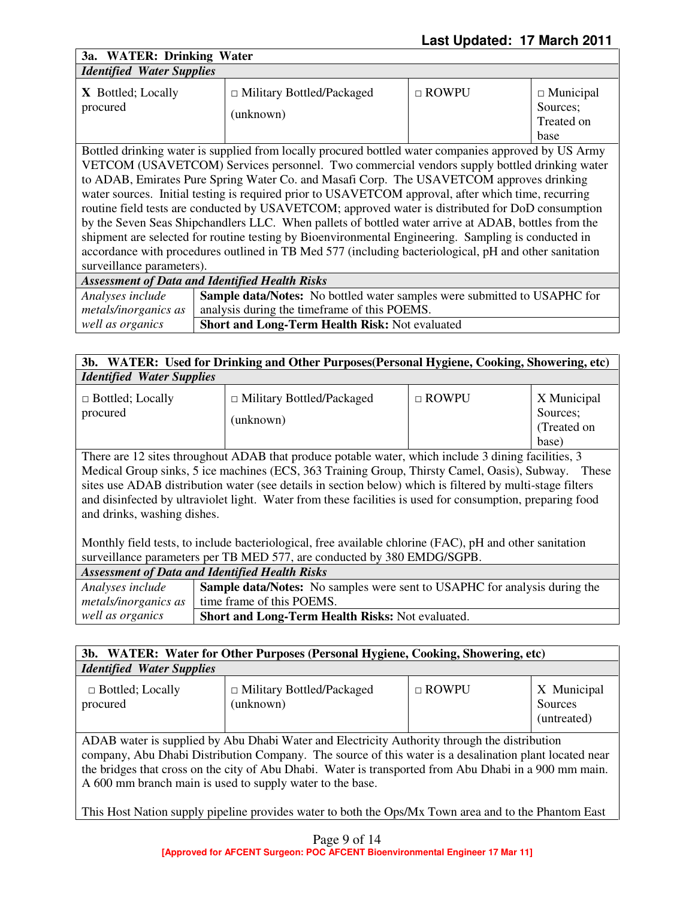**3a. WATER: Drinking Water**  *Identified Water Supplies* 

| <i>Lachington march Bupping</i>                                                                      |                                               |                |                                                    |
|------------------------------------------------------------------------------------------------------|-----------------------------------------------|----------------|----------------------------------------------------|
| <b>X</b> Bottled; Locally<br>procured                                                                | $\Box$ Military Bottled/Packaged<br>(unknown) | $\sqcap$ ROWPU | $\Box$ Municipal<br>Sources;<br>Treated on<br>base |
| Bottled drinking water is supplied from locally procured bottled water companies approved by US Army |                                               |                |                                                    |

VETCOM (USAVETCOM) Services personnel. Two commercial vendors supply bottled drinking water to ADAB, Emirates Pure Spring Water Co. and Masafi Corp. The USAVETCOM approves drinking water sources. Initial testing is required prior to USAVETCOM approval, after which time, recurring routine field tests are conducted by USAVETCOM; approved water is distributed for DoD consumption by the Seven Seas Shipchandlers LLC. When pallets of bottled water arrive at ADAB, bottles from the shipment are selected for routine testing by Bioenvironmental Engineering. Sampling is conducted in accordance with procedures outlined in TB Med 577 (including bacteriological, pH and other sanitation surveillance parameters).

| <b>Assessment of Data and Identified Health Risks</b> |                                                                                 |  |
|-------------------------------------------------------|---------------------------------------------------------------------------------|--|
| Analyses include                                      | <b>Sample data/Notes:</b> No bottled water samples were submitted to USAPHC for |  |
| metals/inorganics as                                  | analysis during the timeframe of this POEMS.                                    |  |
| well as organics                                      | <b>Short and Long-Term Health Risk: Not evaluated</b>                           |  |

# **3b. WATER: Used for Drinking and Other Purposes(Personal Hygiene, Cooking, Showering, etc)**  *Identified Water Supplies*

There are 12 sites throughout ADAB that produce potable water, which include 3 dining facilities, 3 Medical Group sinks, 5 ice machines (ECS, 363 Training Group, Thirsty Camel, Oasis), Subway. These sites use ADAB distribution water (see details in section below) which is filtered by multi-stage filters and disinfected by ultraviolet light. Water from these facilities is used for consumption, preparing food and drinks, washing dishes.

Monthly field tests, to include bacteriological, free available chlorine (FAC), pH and other sanitation surveillance parameters per TB MED 577, are conducted by 380 EMDG/SGPB.

| <b>Assessment of Data and Identified Health Risks</b> |                                                                                  |  |
|-------------------------------------------------------|----------------------------------------------------------------------------------|--|
| Analyses include                                      | <b>Sample data/Notes:</b> No samples were sent to USAPHC for analysis during the |  |
| metals/inorganics as                                  | time frame of this POEMS.                                                        |  |
| well as organics                                      | <b>Short and Long-Term Health Risks: Not evaluated.</b>                          |  |

| $3b$ .<br>WATER: Water for Other Purposes (Personal Hygiene, Cooking, Showering, etc) |                                               |              |                                       |
|---------------------------------------------------------------------------------------|-----------------------------------------------|--------------|---------------------------------------|
| <b>Identified Water Supplies</b>                                                      |                                               |              |                                       |
| $\Box$ Bottled; Locally<br>procured                                                   | $\Box$ Military Bottled/Packaged<br>(unknown) | $\Box$ ROWPU | X Municipal<br>Sources<br>(untreated) |

ADAB water is supplied by Abu Dhabi Water and Electricity Authority through the distribution company, Abu Dhabi Distribution Company. The source of this water is a desalination plant located near the bridges that cross on the city of Abu Dhabi. Water is transported from Abu Dhabi in a 900 mm main. A 600 mm branch main is used to supply water to the base.

This Host Nation supply pipeline provides water to both the Ops/Mx Town area and to the Phantom East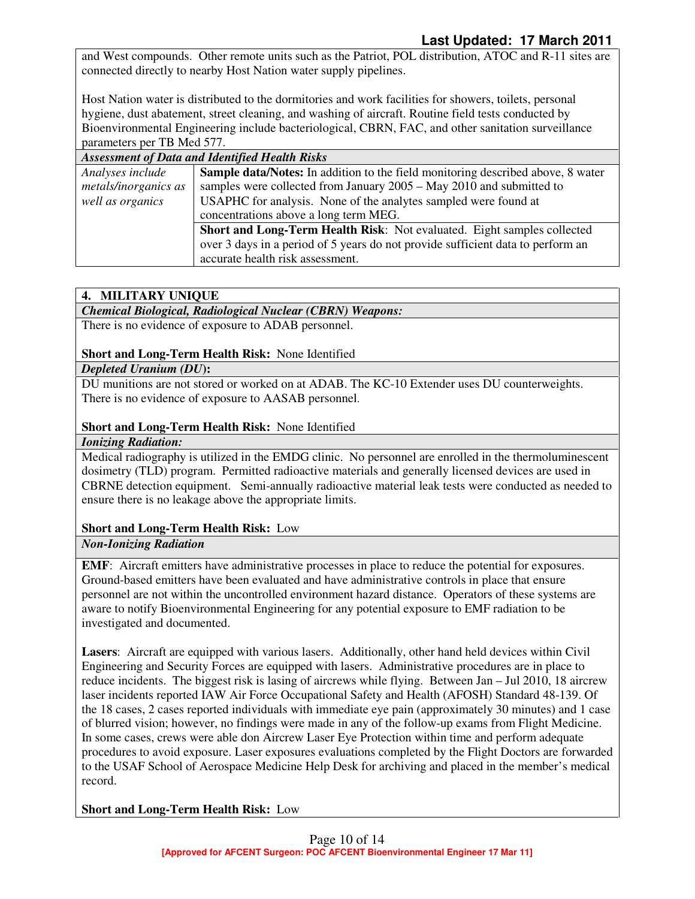and West compounds. Other remote units such as the Patriot, POL distribution, ATOC and R-11 sites are connected directly to nearby Host Nation water supply pipelines.

Host Nation water is distributed to the dormitories and work facilities for showers, toilets, personal hygiene, dust abatement, street cleaning, and washing of aircraft. Routine field tests conducted by Bioenvironmental Engineering include bacteriological, CBRN, FAC, and other sanitation surveillance parameters per TB Med 577.

| <b>Assessment of Data and Identified Health Risks</b> |                                                                                        |
|-------------------------------------------------------|----------------------------------------------------------------------------------------|
| Analyses include                                      | <b>Sample data/Notes:</b> In addition to the field monitoring described above, 8 water |
| metals/inorganics as                                  | samples were collected from January 2005 – May 2010 and submitted to                   |
| well as organics                                      | USAPHC for analysis. None of the analytes sampled were found at                        |
|                                                       | concentrations above a long term MEG.                                                  |
|                                                       | Short and Long-Term Health Risk: Not evaluated. Eight samples collected                |
|                                                       | over 3 days in a period of 5 years do not provide sufficient data to perform an        |
|                                                       | accurate health risk assessment.                                                       |

# **4. MILITARY UNIQUE**

### *Chemical Biological, Radiological Nuclear (CBRN) Weapons:*

There is no evidence of exposure to ADAB personnel.

# **Short and Long-Term Health Risk:** None Identified

### *Depleted Uranium (DU***):**

DU munitions are not stored or worked on at ADAB. The KC-10 Extender uses DU counterweights. There is no evidence of exposure to AASAB personnel.

# **Short and Long-Term Health Risk:** None Identified

### *Ionizing Radiation:*

Medical radiography is utilized in the EMDG clinic. No personnel are enrolled in the thermoluminescent dosimetry (TLD) program. Permitted radioactive materials and generally licensed devices are used in CBRNE detection equipment. Semi-annually radioactive material leak tests were conducted as needed to ensure there is no leakage above the appropriate limits.

# **Short and Long-Term Health Risk:** Low

# *Non-Ionizing Radiation*

**EMF**: Aircraft emitters have administrative processes in place to reduce the potential for exposures. Ground-based emitters have been evaluated and have administrative controls in place that ensure personnel are not within the uncontrolled environment hazard distance. Operators of these systems are aware to notify Bioenvironmental Engineering for any potential exposure to EMF radiation to be investigated and documented.

**Lasers**: Aircraft are equipped with various lasers. Additionally, other hand held devices within Civil Engineering and Security Forces are equipped with lasers. Administrative procedures are in place to reduce incidents. The biggest risk is lasing of aircrews while flying. Between Jan – Jul 2010, 18 aircrew laser incidents reported IAW Air Force Occupational Safety and Health (AFOSH) Standard 48-139. Of the 18 cases, 2 cases reported individuals with immediate eye pain (approximately 30 minutes) and 1 case of blurred vision; however, no findings were made in any of the follow-up exams from Flight Medicine. In some cases, crews were able don Aircrew Laser Eye Protection within time and perform adequate procedures to avoid exposure. Laser exposures evaluations completed by the Flight Doctors are forwarded to the USAF School of Aerospace Medicine Help Desk for archiving and placed in the member's medical record.

**Short and Long-Term Health Risk:** Low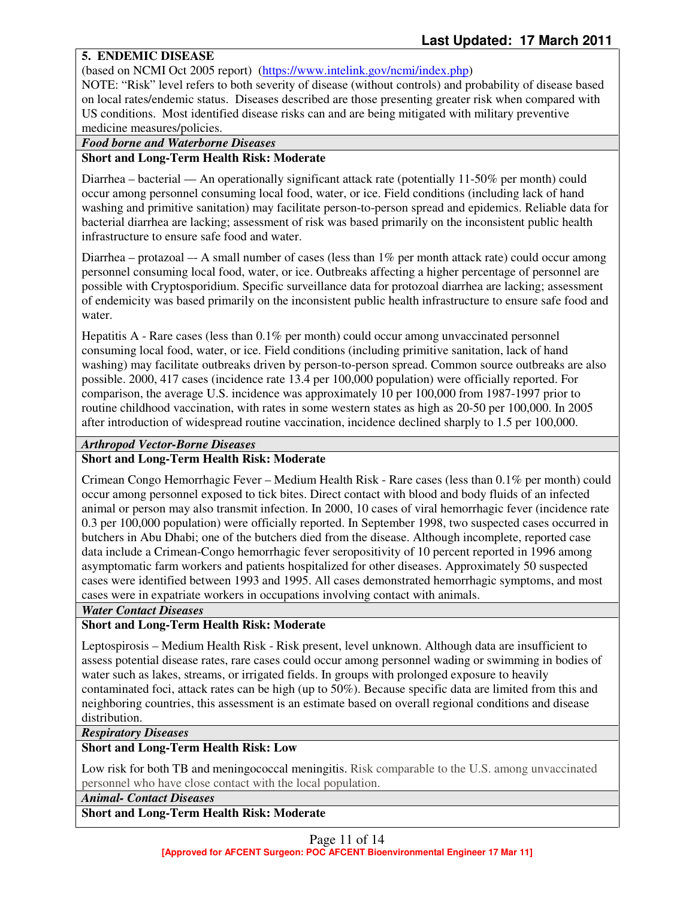# **5. ENDEMIC DISEASE**

(based on NCMI Oct 2005 report) (https://www.intelink.gov/ncmi/index.php)

NOTE: "Risk" level refers to both severity of disease (without controls) and probability of disease based on local rates/endemic status. Diseases described are those presenting greater risk when compared with US conditions. Most identified disease risks can and are being mitigated with military preventive medicine measures/policies.

### *Food borne and Waterborne Diseases*

### **Short and Long-Term Health Risk: Moderate**

Diarrhea – bacterial — An operationally significant attack rate (potentially 11-50% per month) could occur among personnel consuming local food, water, or ice. Field conditions (including lack of hand washing and primitive sanitation) may facilitate person-to-person spread and epidemics. Reliable data for bacterial diarrhea are lacking; assessment of risk was based primarily on the inconsistent public health infrastructure to ensure safe food and water.

Diarrhea – protazoal –- A small number of cases (less than 1% per month attack rate) could occur among personnel consuming local food, water, or ice. Outbreaks affecting a higher percentage of personnel are possible with Cryptosporidium. Specific surveillance data for protozoal diarrhea are lacking; assessment of endemicity was based primarily on the inconsistent public health infrastructure to ensure safe food and water.

Hepatitis A - Rare cases (less than 0.1% per month) could occur among unvaccinated personnel consuming local food, water, or ice. Field conditions (including primitive sanitation, lack of hand washing) may facilitate outbreaks driven by person-to-person spread. Common source outbreaks are also possible. 2000, 417 cases (incidence rate 13.4 per 100,000 population) were officially reported. For comparison, the average U.S. incidence was approximately 10 per 100,000 from 1987-1997 prior to routine childhood vaccination, with rates in some western states as high as 20-50 per 100,000. In 2005 after introduction of widespread routine vaccination, incidence declined sharply to 1.5 per 100,000.

#### *Arthropod Vector-Borne Diseases*

#### **Short and Long-Term Health Risk: Moderate**

Crimean Congo Hemorrhagic Fever – Medium Health Risk - Rare cases (less than 0.1% per month) could occur among personnel exposed to tick bites. Direct contact with blood and body fluids of an infected animal or person may also transmit infection. In 2000, 10 cases of viral hemorrhagic fever (incidence rate 0.3 per 100,000 population) were officially reported. In September 1998, two suspected cases occurred in butchers in Abu Dhabi; one of the butchers died from the disease. Although incomplete, reported case data include a Crimean-Congo hemorrhagic fever seropositivity of 10 percent reported in 1996 among asymptomatic farm workers and patients hospitalized for other diseases. Approximately 50 suspected cases were identified between 1993 and 1995. All cases demonstrated hemorrhagic symptoms, and most cases were in expatriate workers in occupations involving contact with animals.

#### *Water Contact Diseases*

### **Short and Long-Term Health Risk: Moderate**

Leptospirosis – Medium Health Risk - Risk present, level unknown. Although data are insufficient to assess potential disease rates, rare cases could occur among personnel wading or swimming in bodies of water such as lakes, streams, or irrigated fields. In groups with prolonged exposure to heavily contaminated foci, attack rates can be high (up to 50%). Because specific data are limited from this and neighboring countries, this assessment is an estimate based on overall regional conditions and disease distribution.

#### *Respiratory Diseases*

### **Short and Long-Term Health Risk: Low**

Low risk for both TB and meningococcal meningitis. Risk comparable to the U.S. among unvaccinated personnel who have close contact with the local population.

#### *Animal- Contact Diseases*

#### **Short and Long-Term Health Risk: Moderate**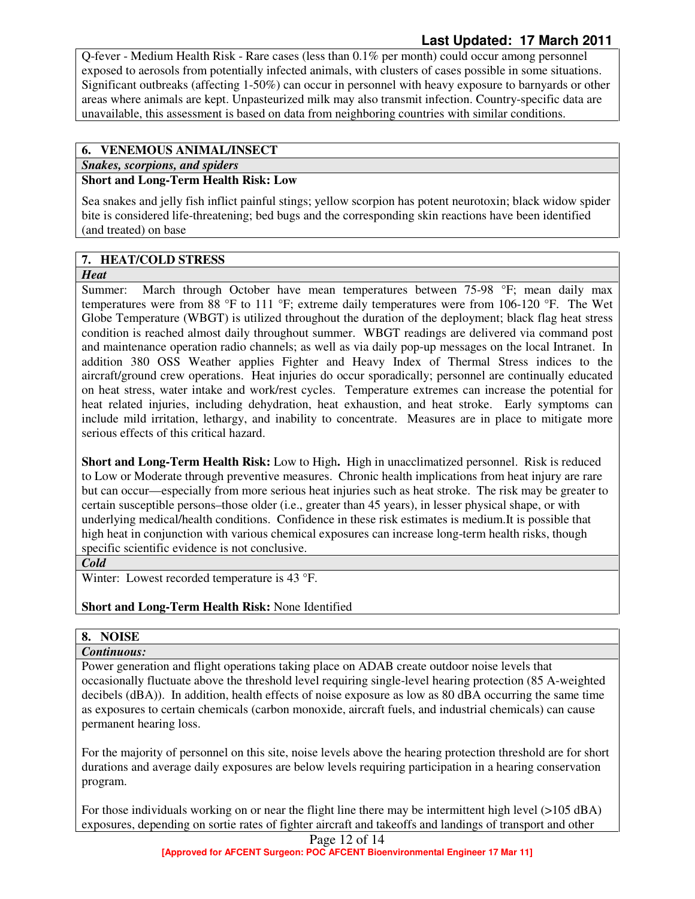Q-fever - Medium Health Risk - Rare cases (less than 0.1% per month) could occur among personnel exposed to aerosols from potentially infected animals, with clusters of cases possible in some situations. Significant outbreaks (affecting 1-50%) can occur in personnel with heavy exposure to barnyards or other areas where animals are kept. Unpasteurized milk may also transmit infection. Country-specific data are unavailable, this assessment is based on data from neighboring countries with similar conditions.

# **6. VENEMOUS ANIMAL/INSECT**

*Snakes, scorpions, and spiders* 

# **Short and Long-Term Health Risk: Low**

Sea snakes and jelly fish inflict painful stings; yellow scorpion has potent neurotoxin; black widow spider bite is considered life-threatening; bed bugs and the corresponding skin reactions have been identified (and treated) on base

# **7. HEAT/COLD STRESS**

#### *Heat*

Summer: March through October have mean temperatures between 75-98 °F; mean daily max temperatures were from 88 °F to 111 °F; extreme daily temperatures were from 106-120 °F. The Wet Globe Temperature (WBGT) is utilized throughout the duration of the deployment; black flag heat stress condition is reached almost daily throughout summer. WBGT readings are delivered via command post and maintenance operation radio channels; as well as via daily pop-up messages on the local Intranet. In addition 380 OSS Weather applies Fighter and Heavy Index of Thermal Stress indices to the aircraft/ground crew operations. Heat injuries do occur sporadically; personnel are continually educated on heat stress, water intake and work/rest cycles. Temperature extremes can increase the potential for heat related injuries, including dehydration, heat exhaustion, and heat stroke. Early symptoms can include mild irritation, lethargy, and inability to concentrate. Measures are in place to mitigate more serious effects of this critical hazard.

**Short and Long-Term Health Risk:** Low to High**.** High in unacclimatized personnel. Risk is reduced to Low or Moderate through preventive measures. Chronic health implications from heat injury are rare but can occur—especially from more serious heat injuries such as heat stroke. The risk may be greater to certain susceptible persons–those older (i.e., greater than 45 years), in lesser physical shape, or with underlying medical/health conditions. Confidence in these risk estimates is medium.It is possible that high heat in conjunction with various chemical exposures can increase long-term health risks, though specific scientific evidence is not conclusive.

#### *Cold*

Winter: Lowest recorded temperature is 43 °F.

# **Short and Long-Term Health Risk:** None Identified

# **8. NOISE**

# *Continuous:*

Power generation and flight operations taking place on ADAB create outdoor noise levels that occasionally fluctuate above the threshold level requiring single-level hearing protection (85 A-weighted decibels (dBA)). In addition, health effects of noise exposure as low as 80 dBA occurring the same time as exposures to certain chemicals (carbon monoxide, aircraft fuels, and industrial chemicals) can cause permanent hearing loss.

For the majority of personnel on this site, noise levels above the hearing protection threshold are for short durations and average daily exposures are below levels requiring participation in a hearing conservation program.

For those individuals working on or near the flight line there may be intermittent high level (>105 dBA) exposures, depending on sortie rates of fighter aircraft and takeoffs and landings of transport and other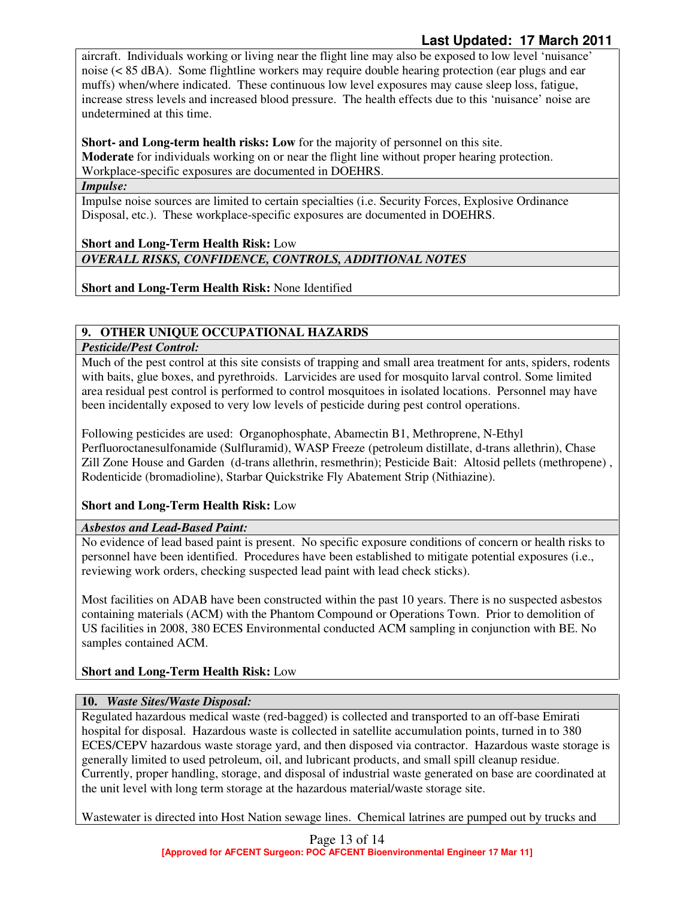aircraft. Individuals working or living near the flight line may also be exposed to low level 'nuisance' noise (< 85 dBA). Some flightline workers may require double hearing protection (ear plugs and ear muffs) when/where indicated. These continuous low level exposures may cause sleep loss, fatigue, increase stress levels and increased blood pressure. The health effects due to this 'nuisance' noise are undetermined at this time.

**Short- and Long-term health risks: Low** for the majority of personnel on this site. **Moderate** for individuals working on or near the flight line without proper hearing protection. Workplace-specific exposures are documented in DOEHRS.

### *Impulse:*

Impulse noise sources are limited to certain specialties (i.e. Security Forces, Explosive Ordinance Disposal, etc.). These workplace-specific exposures are documented in DOEHRS.

# **Short and Long-Term Health Risk:** Low *OVERALL RISKS, CONFIDENCE, CONTROLS, ADDITIONAL NOTES*

**Short and Long-Term Health Risk:** None Identified

# **9. OTHER UNIQUE OCCUPATIONAL HAZARDS**

# *Pesticide/Pest Control:*

Much of the pest control at this site consists of trapping and small area treatment for ants, spiders, rodents with baits, glue boxes, and pyrethroids. Larvicides are used for mosquito larval control. Some limited area residual pest control is performed to control mosquitoes in isolated locations. Personnel may have been incidentally exposed to very low levels of pesticide during pest control operations.

Following pesticides are used: Organophosphate, Abamectin B1, Methroprene, N-Ethyl Perfluoroctanesulfonamide (Sulfluramid), WASP Freeze (petroleum distillate, d-trans allethrin), Chase Zill Zone House and Garden (d-trans allethrin, resmethrin); Pesticide Bait: Altosid pellets (methropene) , Rodenticide (bromadioline), Starbar Quickstrike Fly Abatement Strip (Nithiazine).

# **Short and Long-Term Health Risk:** Low

# *Asbestos and Lead-Based Paint:*

No evidence of lead based paint is present. No specific exposure conditions of concern or health risks to personnel have been identified. Procedures have been established to mitigate potential exposures (i.e., reviewing work orders, checking suspected lead paint with lead check sticks).

Most facilities on ADAB have been constructed within the past 10 years. There is no suspected asbestos containing materials (ACM) with the Phantom Compound or Operations Town. Prior to demolition of US facilities in 2008, 380 ECES Environmental conducted ACM sampling in conjunction with BE. No samples contained ACM.

# **Short and Long-Term Health Risk:** Low

# **10.** *Waste Sites/Waste Disposal:*

Regulated hazardous medical waste (red-bagged) is collected and transported to an off-base Emirati hospital for disposal. Hazardous waste is collected in satellite accumulation points, turned in to 380 ECES/CEPV hazardous waste storage yard, and then disposed via contractor. Hazardous waste storage is generally limited to used petroleum, oil, and lubricant products, and small spill cleanup residue. Currently, proper handling, storage, and disposal of industrial waste generated on base are coordinated at the unit level with long term storage at the hazardous material/waste storage site.

Wastewater is directed into Host Nation sewage lines. Chemical latrines are pumped out by trucks and